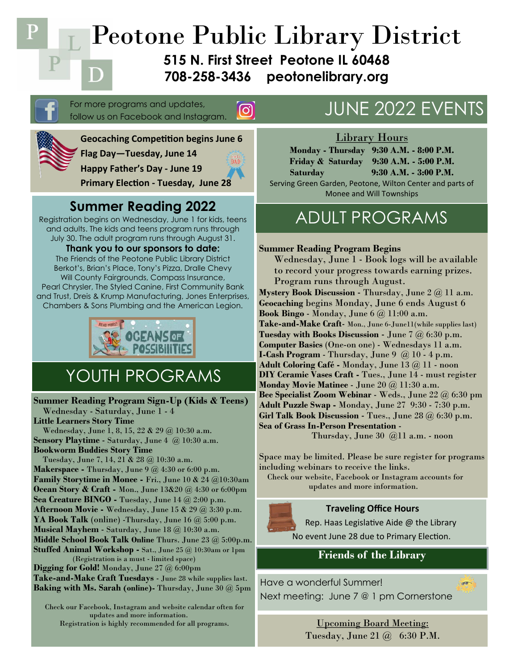Peotone Public Library District

**515 N. First Street Peotone IL 60468 708-258-3436 peotonelibrary.org**

For more programs and updates, follow us on Facebook and Instagram



**Flag Day—Tuesday, June 14**



 $\boxed{\textcircled{\;}}$ 

**Primary Election - Tuesday, June 28**

**Geocaching Competition begins June 6**

### **Summer Reading 2022**

Registration begins on Wednesday, June 1 for kids, teens and adults. The kids and teens program runs through July 30. The adult program runs through August 31.

**Thank you to our sponsors to date:** The Friends of the Peotone Public Library District Berkot's, Brian's Place, Tony's Pizza, Dralle Chevy Will County Fairgrounds, Compass Insurance, Pearl Chrysler, The Styled Canine, First Community Bank and Trust, Dreis & Krump Manufacturing, Jones Enterprises, Chambers & Sons Plumbing and the American Legion.



## YOUTH PROGRAMS

**Summer Reading Program Sign-Up (Kids & Teens)** Wednesday - Saturday, June 1 - 4 **Little Learners Story Time** Wednesday, June 1, 8, 15, 22 & 29 @ 10:30 a.m. **Sensory Playtime** - Saturday, June 4 @ 10:30 a.m. **Bookworm Buddies Story Time**  Tuesday, June 7, 14, 21 & 28 @ 10:30 a.m. **Makerspace -** Thursday, June 9 @ 4:30 or 6:00 p.m. **Family Storytime in Monee -** Fri., June 10 & 24 @10:30am **Ocean Story & Craft -** Mon., June 13&20 @ 4:30 or 6:00pm **Sea Creature BINGO -** Tuesday, June 14 @ 2:00 p.m. **Afternoon Movie -** Wednesday, June 15 & 29 @ 3:30 p.m. **YA Book Talk** (online) -Thursday, June 16 @ 5:00 p.m. **Musical Mayhem** - Saturday, June 18 @ 10:30 a.m. **Middle School Book Talk Online** Thurs. June 23 @ 5:00p.m. **Stuffed Animal Workshop -** Sat., June 25 @ 10:30am or 1pm (Registration is a must - limited space)

**Digging for Gold!** Monday, June 27 @ 6:00pm **Take-and-Make Craft Tuesdays** - June 28 while supplies last. **Baking with Ms. Sarah (online)-** Thursday, June 30 @ 5pm

 Check our Facebook, Instagram and website calendar often for updates and more information. Registration is highly recommended for all programs.

## JUNE 2022 EVENTS

#### Library Hours

**Monday - Thursday 9:30 A.M. - 8:00 P.M. Friday & Saturday 9:30 A.M. - 5:00 P.M. Saturday 9:30 A.M. - 3:00 P.M.** Serving Green Garden, Peotone, Wilton Center and parts of Monee and Will Townships

### ADULT PROGRAMS

#### **Summer Reading Program Begins**

Wednesday, June 1 - Book logs will be available to record your progress towards earning prizes. Program runs through August.

**Mystery Book Discussion** - Thursday, June 2 @ 11 a.m. **Geocaching** begins Monday, June 6 ends August 6 **Book Bingo** - Monday, June 6 @ 11:00 a.m. **Take-and-Make Craft**- Mon., June 6-June11(while supplies last) **Tuesday with Books Discussion** - June 7 @ 6:30 p.m. **Computer Basics** (One-on one) - Wednesdays 11 a.m. **I-Cash Program** - Thursday, June  $9 \quad \omega$  10 - 4 p.m. **Adult Coloring Café -** Monday, June 13 @ 11 - noon **DIY Ceramic Vases Craft -** Tues., June 14 - must register **Monday Movie Matinee** - June 20 @ 11:30 a.m. **Bee Specialist Zoom Webinar** - Weds., June 22 @ 6:30 pm **Adult Puzzle Swap -** Monday, June 27 9:30 - 7:30 p.m. **Girl Talk Book Discussion** - Tues., June 28 @ 6:30 p.m. **Sea of Grass In-Person Presentation** -

Thursday, June 30 @11 a.m. - noon

Space may be limited. Please be sure register for programs including webinars to receive the links.

 Check our website, Facebook or Instagram accounts for updates and more information.

#### **Traveling Office Hours**



Rep. Haas Legislative Aide @ the Library No event June 28 due to Primary Election.

### **Friends of the Library**

 $\overline{a}$ 

Have a wonderful Summer! Next meeting: June 7 @ 1 pm Cornerstone

> Upcoming Board Meeting: Tuesday, June 21 @ 6:30 P.M.